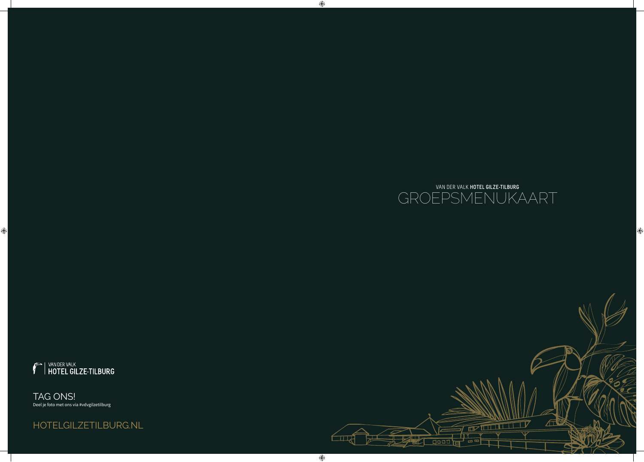

 $\bigcirc$ 

 $\bigoplus$ 



 $\bigcirc$ 

TAG ONS! Deel je foto met ons via #vdvgilzetilburg